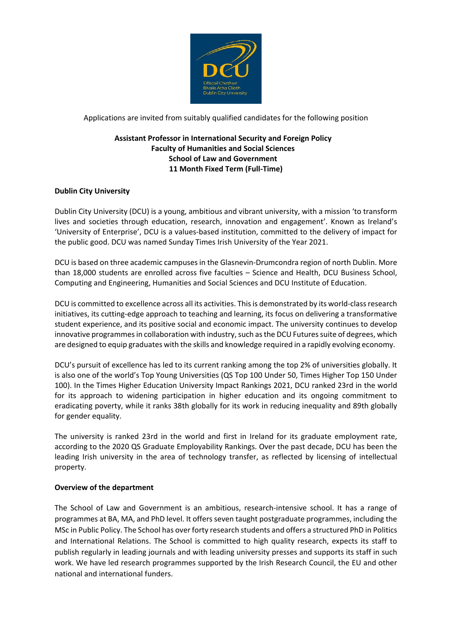

Applications are invited from suitably qualified candidates for the following position

# **Assistant Professor in International Security and Foreign Policy Faculty of Humanities and Social Sciences School of Law and Government 11 Month Fixed Term (Full-Time)**

# **Dublin City University**

Dublin City University (DCU) is a young, ambitious and vibrant university, with a mission 'to transform lives and societies through education, research, innovation and engagement'. Known as Ireland's 'University of Enterprise', DCU is a values-based institution, committed to the delivery of impact for the public good. DCU was named Sunday Times Irish University of the Year 2021.

DCU is based on three academic campuses in the Glasnevin-Drumcondra region of north Dublin. More than 18,000 students are enrolled across five faculties – Science and Health, DCU Business School, Computing and Engineering, Humanities and Social Sciences and DCU Institute of Education.

DCU is committed to excellence across all its activities. This is demonstrated by its world-class research initiatives, its cutting-edge approach to teaching and learning, its focus on delivering a transformative student experience, and its positive social and economic impact. The university continues to develop innovative programmes in collaboration with industry, such as the DCU Futures suite of degrees, which are designed to equip graduates with the skills and knowledge required in a rapidly evolving economy.

DCU's pursuit of excellence has led to its current ranking among the top 2% of universities globally. It is also one of the world's Top Young Universities (QS Top 100 Under 50, Times Higher Top 150 Under 100). In the Times Higher Education University Impact Rankings 2021, DCU ranked 23rd in the world for its approach to widening participation in higher education and its ongoing commitment to eradicating poverty, while it ranks 38th globally for its work in reducing inequality and 89th globally for gender equality.

The university is ranked 23rd in the world and first in Ireland for its graduate employment rate, according to the 2020 QS Graduate Employability Rankings. Over the past decade, DCU has been the leading Irish university in the area of technology transfer, as reflected by licensing of intellectual property.

## **Overview of the department**

The School of Law and Government is an ambitious, research-intensive school. It has a range of programmes at BA, MA, and PhD level. It offers seven taught postgraduate programmes, including the MSc in Public Policy. The School has over forty research students and offers a structured PhD in Politics and International Relations. The School is committed to high quality research, expects its staff to publish regularly in leading journals and with leading university presses and supports its staff in such work. We have led research programmes supported by the Irish Research Council, the EU and other national and international funders.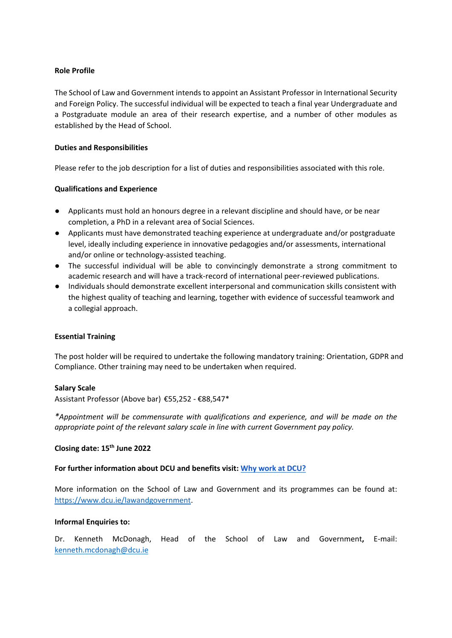## **Role Profile**

The School of Law and Government intends to appoint an Assistant Professor in International Security and Foreign Policy. The successful individual will be expected to teach a final year Undergraduate and a Postgraduate module an area of their research expertise, and a number of other modules as established by the Head of School.

### **Duties and Responsibilities**

Please refer to the job description for a list of duties and responsibilities associated with this role.

### **Qualifications and Experience**

- Applicants must hold an honours degree in a relevant discipline and should have, or be near completion, a PhD in a relevant area of Social Sciences.
- Applicants must have demonstrated teaching experience at undergraduate and/or postgraduate level, ideally including experience in innovative pedagogies and/or assessments, international and/or online or technology-assisted teaching.
- The successful individual will be able to convincingly demonstrate a strong commitment to academic research and will have a track-record of international peer-reviewed publications.
- Individuals should demonstrate excellent interpersonal and communication skills consistent with the highest quality of teaching and learning, together with evidence of successful teamwork and a collegial approach.

#### **Essential Training**

The post holder will be required to undertake the following mandatory training: Orientation, GDPR and Compliance. Other training may need to be undertaken when required.

#### **Salary Scale**

Assistant Professor (Above bar) €55,252 - €88,547\*

*\*Appointment will be commensurate with qualifications and experience, and will be made on the appropriate point of the relevant salary scale in line with current Government pay policy.*

# **Closing date: 15th June 2022**

### **For further information about DCU and benefits visit[:](https://www.dcu.ie/hr/why-work-dcu) [Why work at DCU?](https://www.dcu.ie/hr/why-work-dcu)**

More information on the School of Law and Government and its programmes can be found at: [https://www.dcu.ie/lawandgovernment.](https://www.dcu.ie/lawandgovernment)

#### **Informal Enquiries to:**

Dr. Kenneth McDonagh, Head of the School of Law and Government**,** E-mail: [kenneth.mcdonagh@dcu.ie](mailto:kenneth.mcdonagh@dcu.ie)